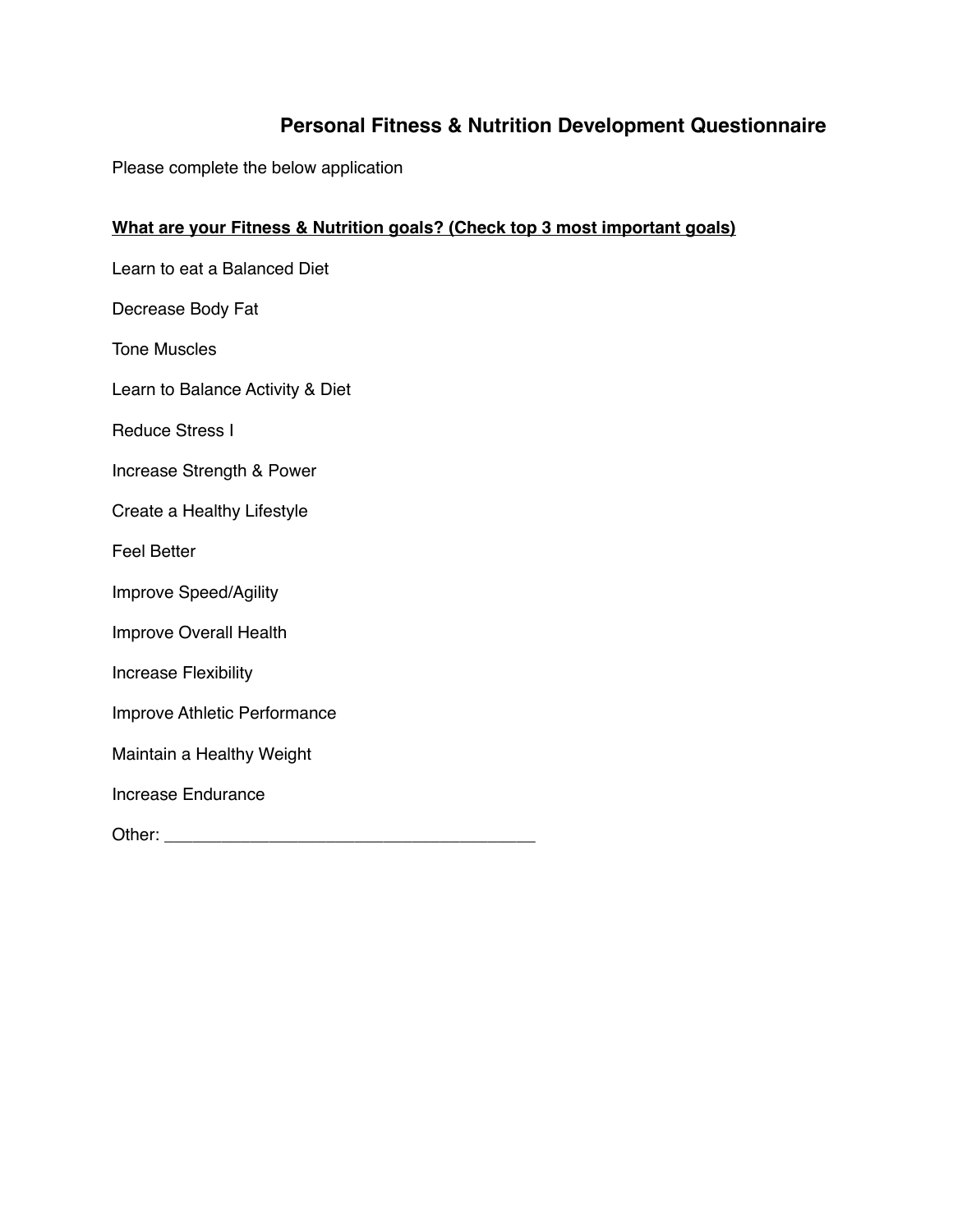# **Personal Fitness & Nutrition Development Questionnaire**

Please complete the below application

# **What are your Fitness & Nutrition goals? (Check top 3 most important goals)**

Learn to eat a Balanced Diet

Decrease Body Fat

Tone Muscles

Learn to Balance Activity & Diet

Reduce Stress I

Increase Strength & Power

Create a Healthy Lifestyle

Feel Better

Improve Speed/Agility

Improve Overall Health

Increase Flexibility

Improve Athletic Performance

Maintain a Healthy Weight

Increase Endurance

Other: \_\_\_\_\_\_\_\_\_\_\_\_\_\_\_\_\_\_\_\_\_\_\_\_\_\_\_\_\_\_\_\_\_\_\_\_\_\_\_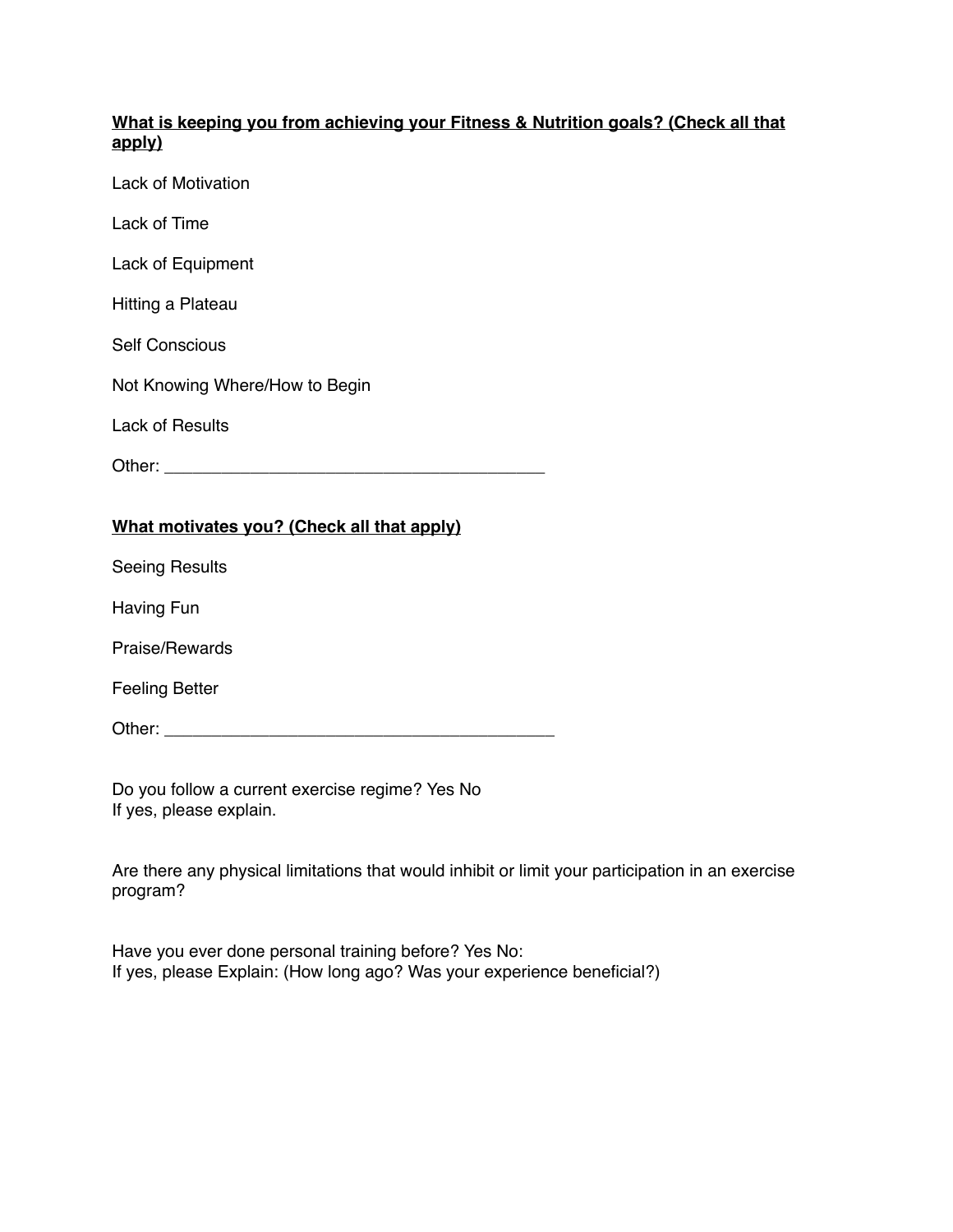## **What is keeping you from achieving your Fitness & Nutrition goals? (Check all that apply)**

Lack of Motivation

Lack of Time

Lack of Equipment

Hitting a Plateau

Self Conscious

Not Knowing Where/How to Begin

Lack of Results

| Other: |  |
|--------|--|
|        |  |

## **What motivates you? (Check all that apply)**

Seeing Results

Having Fun

Praise/Rewards

Feeling Better

Other: \_\_\_\_\_\_\_\_\_\_\_\_\_\_\_\_\_\_\_\_\_\_\_\_\_\_\_\_\_\_\_\_\_\_\_\_\_\_\_\_\_

Do you follow a current exercise regime? Yes No If yes, please explain.

Are there any physical limitations that would inhibit or limit your participation in an exercise program?

Have you ever done personal training before? Yes No: If yes, please Explain: (How long ago? Was your experience beneficial?)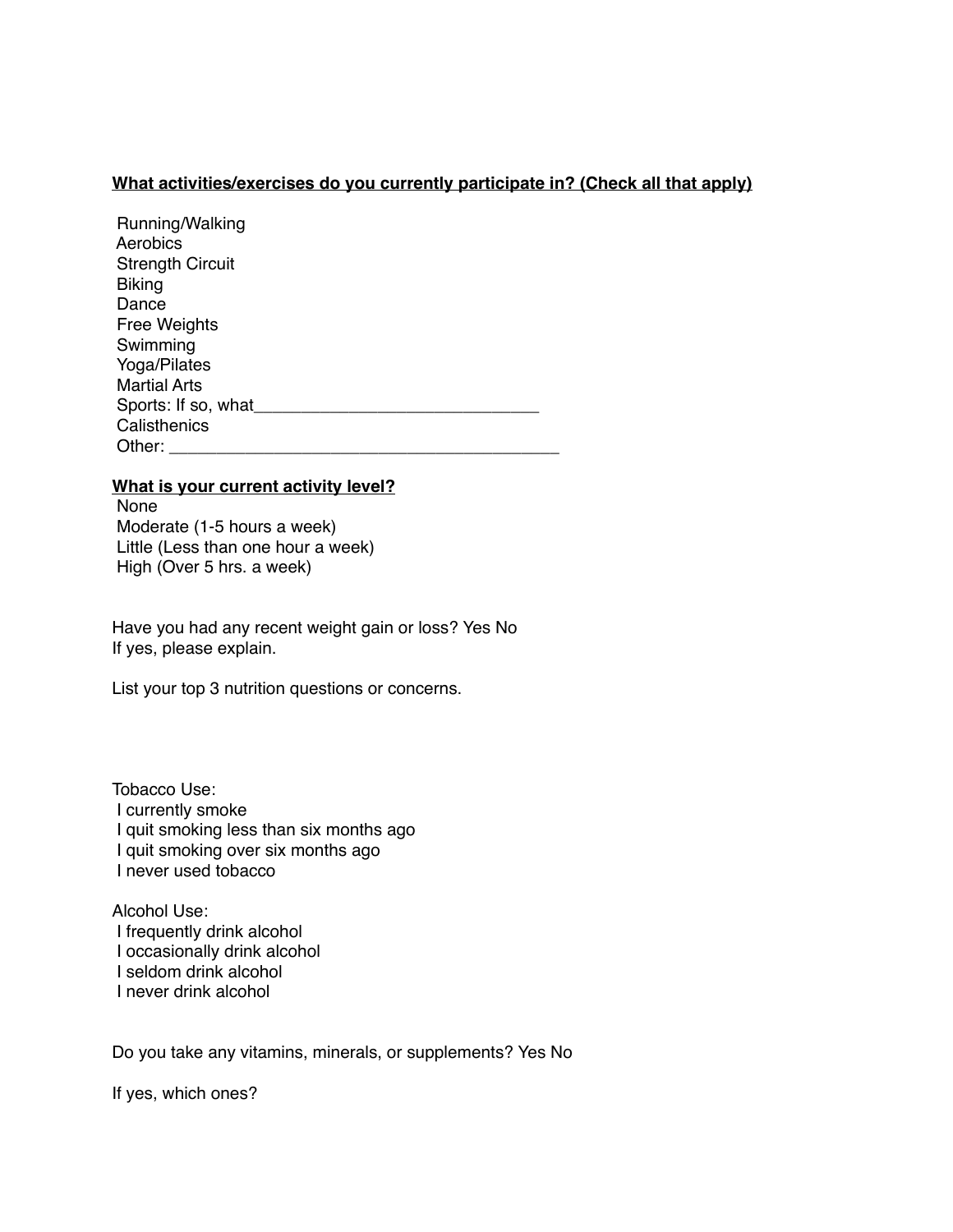## **What activities/exercises do you currently participate in? (Check all that apply)**

| Running/Walking         |
|-------------------------|
| Aerobics                |
| <b>Strength Circuit</b> |
| <b>Biking</b>           |
| Dance                   |
| <b>Free Weights</b>     |
| Swimming                |
| Yoga/Pilates            |
| <b>Martial Arts</b>     |
| Sports: If so, what     |
| Calisthenics            |
| Other:                  |

#### **What is your current activity level?**

 None Moderate (1-5 hours a week) Little (Less than one hour a week) High (Over 5 hrs. a week)

Have you had any recent weight gain or loss? Yes No If yes, please explain.

List your top 3 nutrition questions or concerns.

Tobacco Use: I currently smoke I quit smoking less than six months ago I quit smoking over six months ago I never used tobacco

Alcohol Use: I frequently drink alcohol I occasionally drink alcohol I seldom drink alcohol I never drink alcohol

Do you take any vitamins, minerals, or supplements? Yes No

If yes, which ones?